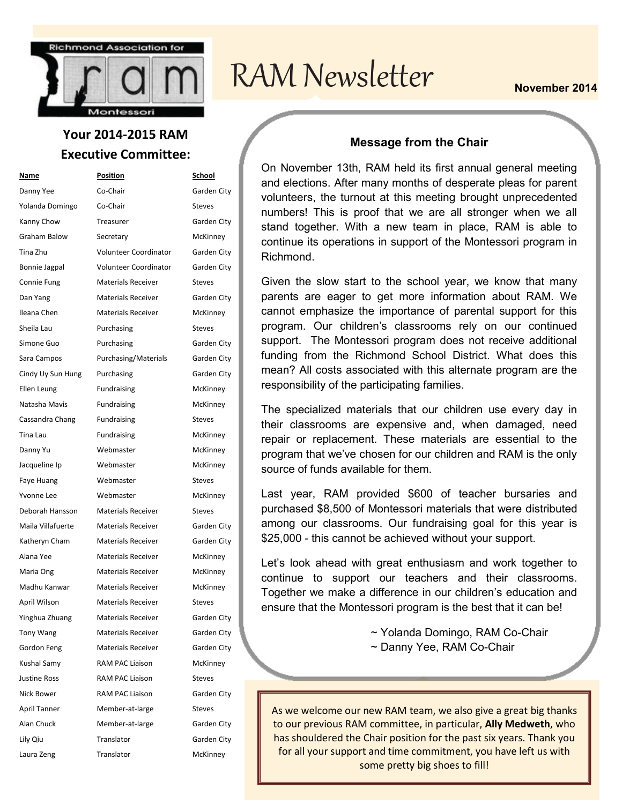

### **Your 2014-2015 RAM Executive Committee:**

| <u>Name</u>         | <b>Position</b>              | School        |
|---------------------|------------------------------|---------------|
| Danny Yee           | Co-Chair                     | Garden City   |
| Yolanda Domingo     | Co-Chair                     | <b>Steves</b> |
| Kanny Chow          | Treasurer                    | Garden City   |
| <b>Graham Balow</b> | Secretary                    | McKinney      |
| Tina Zhu            | <b>Volunteer Coordinator</b> | Garden City   |
| Bonnie Jagpal       | Volunteer Coordinator        | Garden City   |
| Connie Fung         | <b>Materials Receiver</b>    | <b>Steves</b> |
| Dan Yang            | <b>Materials Receiver</b>    | Garden City   |
| Ileana Chen         | <b>Materials Receiver</b>    | McKinney      |
| Sheila Lau          | Purchasing                   | <b>Steves</b> |
| Simone Guo          | Purchasing                   | Garden City   |
| Sara Campos         | Purchasing/Materials         | Garden City   |
| Cindy Uy Sun Hung   | Purchasing                   | Garden City   |
| Ellen Leung         | Fundraising                  | McKinney      |
| Natasha Mavis       | Fundraising                  | McKinney      |
| Cassandra Chang     | Fundraising                  | <b>Steves</b> |
| Tina Lau            | <b>Fundraising</b>           | McKinney      |
| Danny Yu            | Webmaster                    | McKinney      |
| Jacqueline Ip       | Webmaster                    | McKinney      |
| Faye Huang          | Webmaster                    | <b>Steves</b> |
| Yvonne Lee          | Webmaster                    | McKinney      |
| Deborah Hansson     | <b>Materials Receiver</b>    | <b>Steves</b> |
| Maila Villafuerte   | <b>Materials Receiver</b>    | Garden City   |
| Katheryn Cham       | <b>Materials Receiver</b>    | Garden City   |
| Alana Yee           | <b>Materials Receiver</b>    | McKinney      |
| Maria Ong           | <b>Materials Receiver</b>    | McKinney      |
| Madhu Kanwar        | <b>Materials Receiver</b>    | McKinney      |
| April Wilson        | <b>Materials Receiver</b>    | <b>Steves</b> |
| Yinghua Zhuang      | <b>Materials Receiver</b>    | Garden City   |
| Tony Wang           | <b>Materials Receiver</b>    | Garden City   |
| Gordon Feng         | <b>Materials Receiver</b>    | Garden City   |
| Kushal Samy         | <b>RAM PAC Liaison</b>       | McKinney      |
| <b>Justine Ross</b> | <b>RAM PAC Liaison</b>       | <b>Steves</b> |
| Nick Bower          | <b>RAM PAC Liaison</b>       | Garden City   |
| April Tanner        | Member-at-large              | <b>Steves</b> |
| Alan Chuck          | Member-at-large              | Garden City   |
| Lily Qiu            | Translator                   | Garden City   |
| Laura Zeng          | Translator                   | McKinney      |

# RAM Newsletter **November 2014**

#### **Message from the Chair**

On November 13th, RAM held its first annual general meeting and elections. After many months of desperate pleas for parent volunteers, the turnout at this meeting brought unprecedented numbers! This is proof that we are all stronger when we all stand together. With a new team in place, RAM is able to continue its operations in support of the Montessori program in Richmond.

Given the slow start to the school year, we know that many parents are eager to get more information about RAM. We cannot emphasize the importance of parental support for this program. Our children's classrooms rely on our continued support. The Montessori program does not receive additional funding from the Richmond School District. What does this mean? All costs associated with this alternate program are the responsibility of the participating families.

The specialized materials that our children use every day in their classrooms are expensive and, when damaged, need repair or replacement. These materials are essential to the program that we've chosen for our children and RAM is the only source of funds available for them.

Last year, RAM provided \$600 of teacher bursaries and purchased \$8,500 of Montessori materials that were distributed among our classrooms. Our fundraising goal for this year is \$25,000 - this cannot be achieved without your support.

Let's look ahead with great enthusiasm and work together to continue to support our teachers and their classrooms. Together we make a difference in our children's education and ensure that the Montessori program is the best that it can be!

- ~ Yolanda Domingo, RAM Co-Chair
- ~ Danny Yee, RAM Co-Chair

As we welcome our new RAM team, we also give a great big thanks to our previous RAM committee, in particular, **Ally Medweth**, who has shouldered the Chair position for the past six years. Thank you for all your support and time commitment, you have left us with some pretty big shoes to fill!